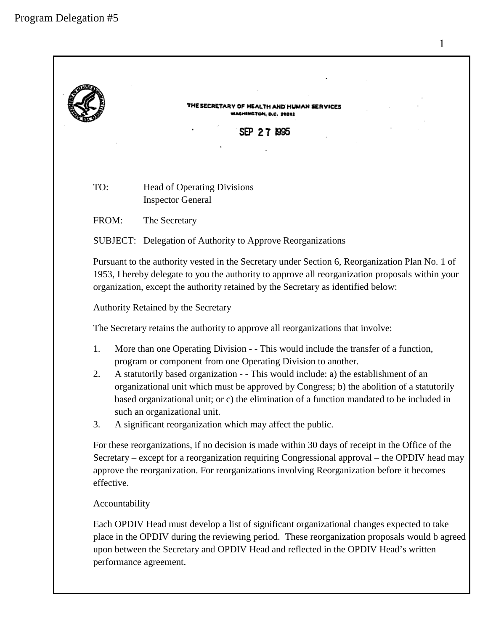| TH AND HUMAN SERVICES<br>YASMINGTON, D.C. 20201<br>SEP 27 1995                                                                                                                                                                                                                                               |                                                                                                                                                                                                                                                                                                                                                                                                                                                                                                                                   |  |
|--------------------------------------------------------------------------------------------------------------------------------------------------------------------------------------------------------------------------------------------------------------------------------------------------------------|-----------------------------------------------------------------------------------------------------------------------------------------------------------------------------------------------------------------------------------------------------------------------------------------------------------------------------------------------------------------------------------------------------------------------------------------------------------------------------------------------------------------------------------|--|
| TO:                                                                                                                                                                                                                                                                                                          | <b>Head of Operating Divisions</b><br><b>Inspector General</b>                                                                                                                                                                                                                                                                                                                                                                                                                                                                    |  |
| FROM:                                                                                                                                                                                                                                                                                                        | The Secretary                                                                                                                                                                                                                                                                                                                                                                                                                                                                                                                     |  |
|                                                                                                                                                                                                                                                                                                              | <b>SUBJECT:</b> Delegation of Authority to Approve Reorganizations                                                                                                                                                                                                                                                                                                                                                                                                                                                                |  |
|                                                                                                                                                                                                                                                                                                              | Pursuant to the authority vested in the Secretary under Section 6, Reorganization Plan No. 1 of<br>1953, I hereby delegate to you the authority to approve all reorganization proposals within your<br>organization, except the authority retained by the Secretary as identified below:                                                                                                                                                                                                                                          |  |
|                                                                                                                                                                                                                                                                                                              | Authority Retained by the Secretary                                                                                                                                                                                                                                                                                                                                                                                                                                                                                               |  |
|                                                                                                                                                                                                                                                                                                              | The Secretary retains the authority to approve all reorganizations that involve:                                                                                                                                                                                                                                                                                                                                                                                                                                                  |  |
| 1.<br>2.<br>3.                                                                                                                                                                                                                                                                                               | More than one Operating Division - - This would include the transfer of a function,<br>program or component from one Operating Division to another.<br>A statutorily based organization - - This would include: a) the establishment of an<br>organizational unit which must be approved by Congress; b) the abolition of a statutorily<br>based organizational unit; or c) the elimination of a function mandated to be included in<br>such an organizational unit.<br>A significant reorganization which may affect the public. |  |
| effective.                                                                                                                                                                                                                                                                                                   | For these reorganizations, if no decision is made within 30 days of receipt in the Office of the<br>Secretary – except for a reorganization requiring Congressional approval – the OPDIV head may<br>approve the reorganization. For reorganizations involving Reorganization before it becomes                                                                                                                                                                                                                                   |  |
|                                                                                                                                                                                                                                                                                                              | Accountability                                                                                                                                                                                                                                                                                                                                                                                                                                                                                                                    |  |
| Each OPDIV Head must develop a list of significant organizational changes expected to take<br>place in the OPDIV during the reviewing period. These reorganization proposals would b agreed<br>upon between the Secretary and OPDIV Head and reflected in the OPDIV Head's written<br>performance agreement. |                                                                                                                                                                                                                                                                                                                                                                                                                                                                                                                                   |  |

1